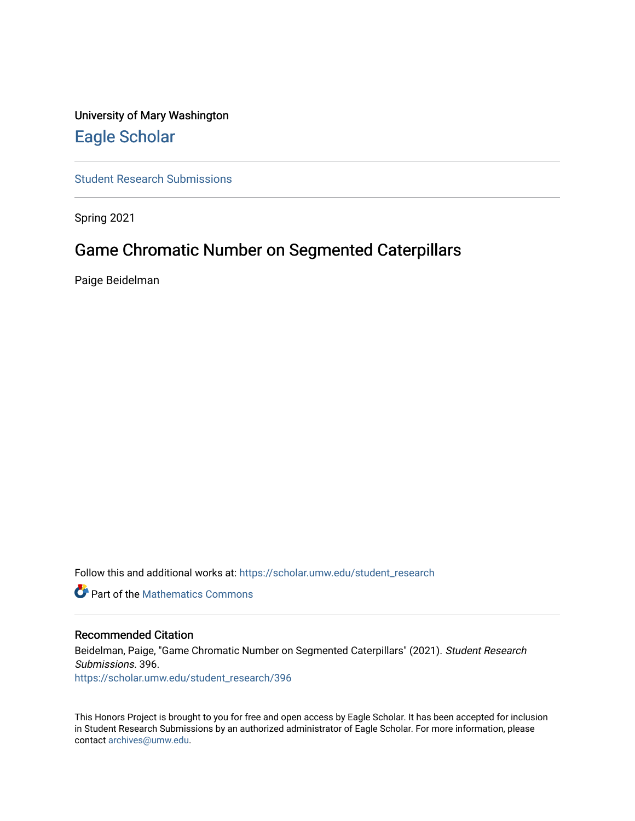## University of Mary Washington [Eagle Scholar](https://scholar.umw.edu/)

[Student Research Submissions](https://scholar.umw.edu/student_research) 

Spring 2021

## Game Chromatic Number on Segmented Caterpillars

Paige Beidelman

Follow this and additional works at: [https://scholar.umw.edu/student\\_research](https://scholar.umw.edu/student_research?utm_source=scholar.umw.edu%2Fstudent_research%2F396&utm_medium=PDF&utm_campaign=PDFCoverPages)

**P** Part of the [Mathematics Commons](http://network.bepress.com/hgg/discipline/174?utm_source=scholar.umw.edu%2Fstudent_research%2F396&utm_medium=PDF&utm_campaign=PDFCoverPages)

#### Recommended Citation

Beidelman, Paige, "Game Chromatic Number on Segmented Caterpillars" (2021). Student Research Submissions. 396. [https://scholar.umw.edu/student\\_research/396](https://scholar.umw.edu/student_research/396?utm_source=scholar.umw.edu%2Fstudent_research%2F396&utm_medium=PDF&utm_campaign=PDFCoverPages)

This Honors Project is brought to you for free and open access by Eagle Scholar. It has been accepted for inclusion in Student Research Submissions by an authorized administrator of Eagle Scholar. For more information, please contact [archives@umw.edu](mailto:archives@umw.edu).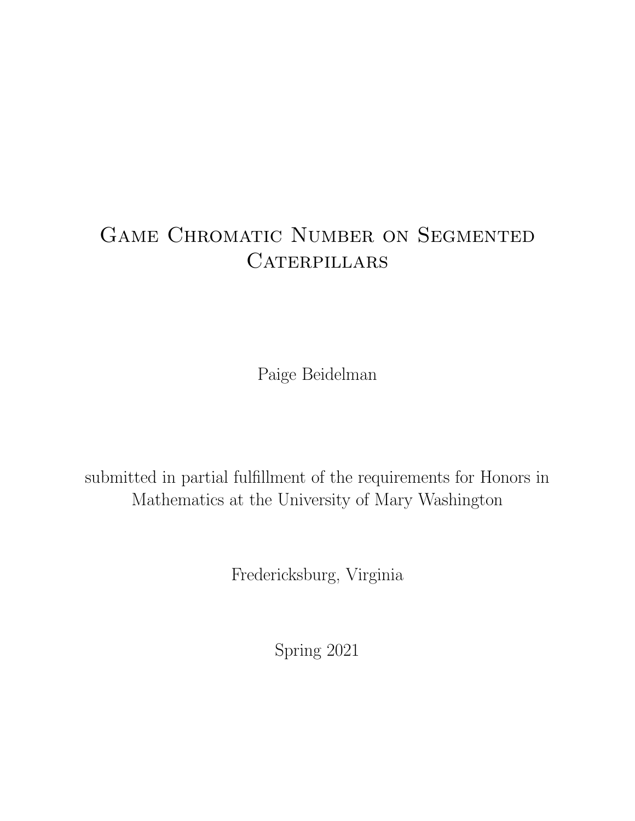# GAME CHROMATIC NUMBER ON SEGMENTED CATERPILLARS

Paige Beidelman

submitted in partial fulfillment of the requirements for Honors in Mathematics at the University of Mary Washington

Fredericksburg, Virginia

Spring 2021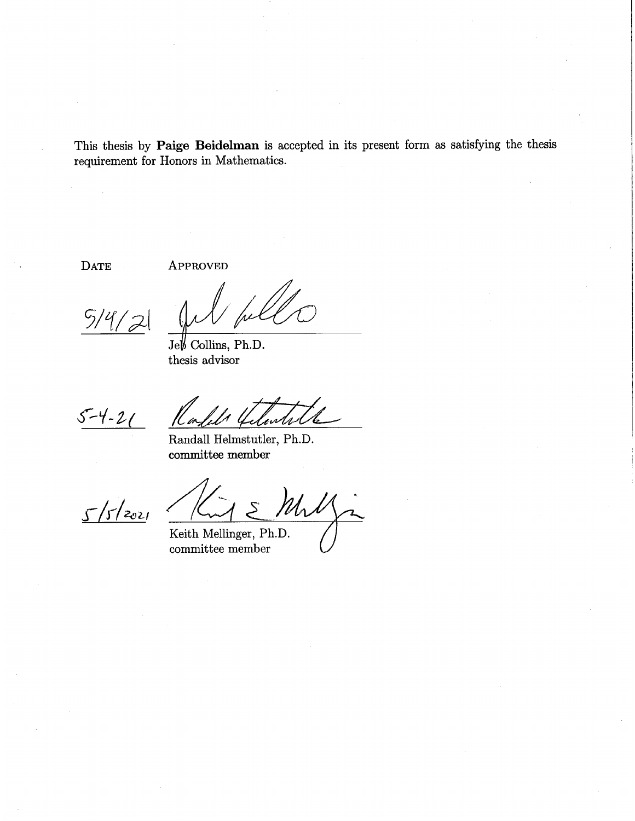This thesis by Paige Beidelman is accepted in its present form as satisfying the thesis requirement for Honors in Mathematics.

**DATE** 

**APPROVED** 

 $5/4/$ 

 $Jef \sim$  Collins, Ph.D. thesis advisor

 $5 - 4 - 21$ 

Randall Helmstutler, Ph.D.  $\mathop{\mathrm{commuttee\; member}}$ 

 $5/5/2021$ 

Mrl

Keith Mellinger, Ph.D. committee member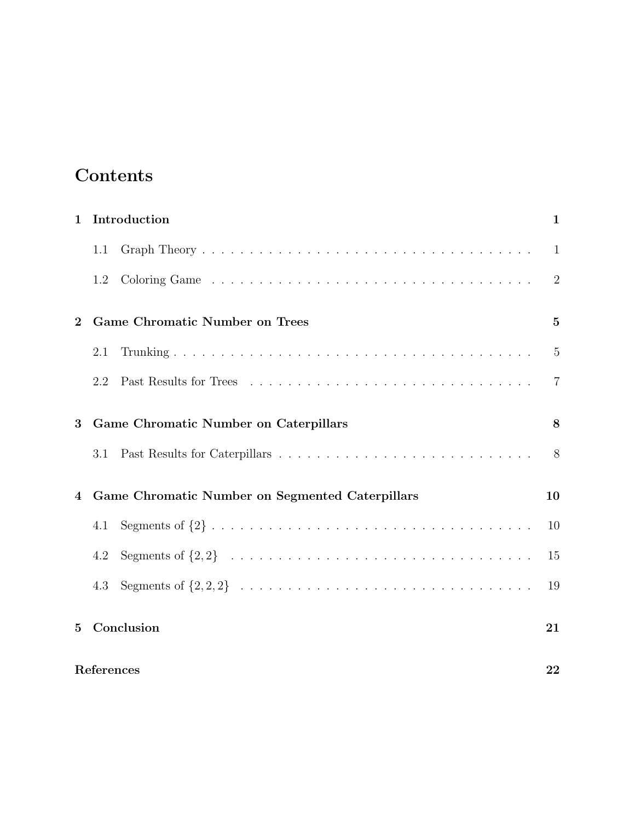## Contents

| $\mathbf{1}$                                         | Introduction |                                       | 1              |
|------------------------------------------------------|--------------|---------------------------------------|----------------|
|                                                      | 1.1          |                                       | $\mathbf{1}$   |
|                                                      | 1.2          |                                       | $\overline{2}$ |
| $\mathbf{2}$                                         |              | <b>Game Chromatic Number on Trees</b> | $\overline{5}$ |
|                                                      | 2.1          |                                       | $\overline{5}$ |
|                                                      | 2.2          |                                       | $\overline{7}$ |
| Game Chromatic Number on Caterpillars<br>3           |              |                                       | 8              |
|                                                      | 3.1          |                                       | 8              |
| Game Chromatic Number on Segmented Caterpillars<br>4 |              |                                       | 10             |
|                                                      | 4.1          |                                       | 10             |
|                                                      | 4.2          |                                       | 15             |
|                                                      | 4.3          |                                       | 19             |
| $\bf{5}$                                             |              | Conclusion                            | 21             |
|                                                      | References   |                                       |                |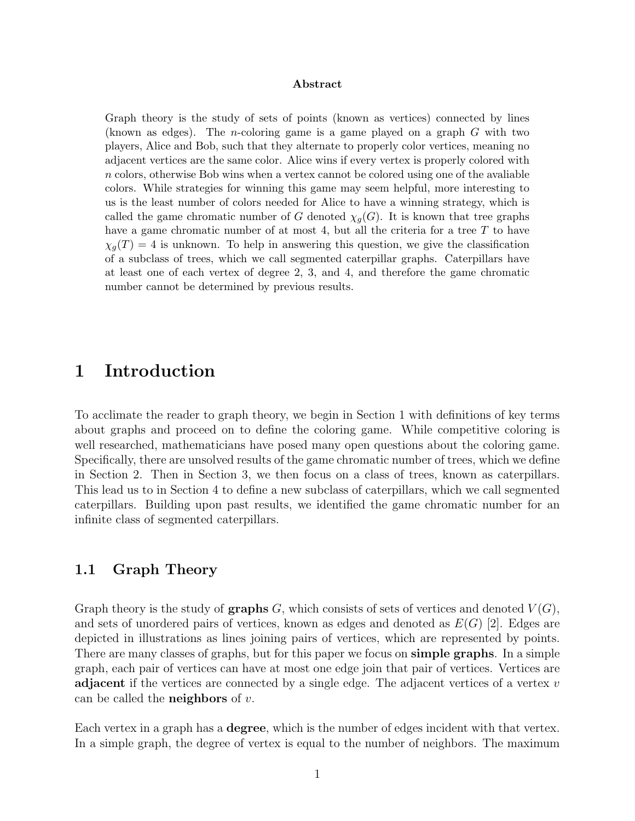#### Abstract

Graph theory is the study of sets of points (known as vertices) connected by lines (known as edges). The *n*-coloring game is a game played on a graph  $G$  with two players, Alice and Bob, such that they alternate to properly color vertices, meaning no adjacent vertices are the same color. Alice wins if every vertex is properly colored with n colors, otherwise Bob wins when a vertex cannot be colored using one of the avaliable colors. While strategies for winning this game may seem helpful, more interesting to us is the least number of colors needed for Alice to have a winning strategy, which is called the game chromatic number of G denoted  $\chi_q(G)$ . It is known that tree graphs have a game chromatic number of at most 4, but all the criteria for a tree T to have  $\chi_q(T) = 4$  is unknown. To help in answering this question, we give the classification of a subclass of trees, which we call segmented caterpillar graphs. Caterpillars have at least one of each vertex of degree 2, 3, and 4, and therefore the game chromatic number cannot be determined by previous results.

### 1 Introduction

To acclimate the reader to graph theory, we begin in Section 1 with definitions of key terms about graphs and proceed on to define the coloring game. While competitive coloring is well researched, mathematicians have posed many open questions about the coloring game. Specifically, there are unsolved results of the game chromatic number of trees, which we define in Section 2. Then in Section 3, we then focus on a class of trees, known as caterpillars. This lead us to in Section 4 to define a new subclass of caterpillars, which we call segmented caterpillars. Building upon past results, we identified the game chromatic number for an infinite class of segmented caterpillars.

#### 1.1 Graph Theory

Graph theory is the study of **graphs** G, which consists of sets of vertices and denoted  $V(G)$ , and sets of unordered pairs of vertices, known as edges and denoted as  $E(G)$  [2]. Edges are depicted in illustrations as lines joining pairs of vertices, which are represented by points. There are many classes of graphs, but for this paper we focus on **simple graphs**. In a simple graph, each pair of vertices can have at most one edge join that pair of vertices. Vertices are adjacent if the vertices are connected by a single edge. The adjacent vertices of a vertex v can be called the **neighbors** of  $v$ .

Each vertex in a graph has a degree, which is the number of edges incident with that vertex. In a simple graph, the degree of vertex is equal to the number of neighbors. The maximum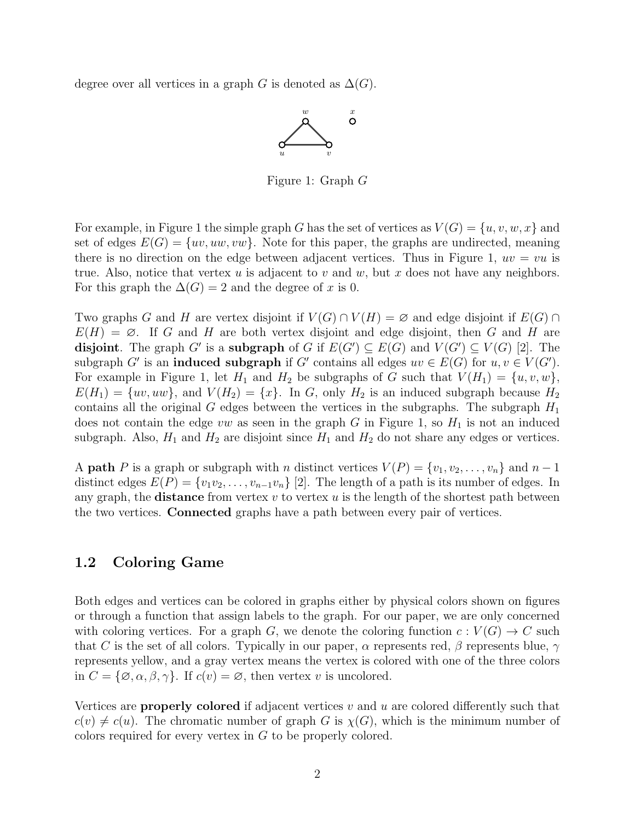degree over all vertices in a graph G is denoted as  $\Delta(G)$ .



Figure 1: Graph G

For example, in Figure 1 the simple graph G has the set of vertices as  $V(G) = \{u, v, w, x\}$  and set of edges  $E(G) = \{uv, uw, vw\}$ . Note for this paper, the graphs are undirected, meaning there is no direction on the edge between adjacent vertices. Thus in Figure 1,  $uv = vu$  is true. Also, notice that vertex  $u$  is adjacent to  $v$  and  $w$ , but  $x$  does not have any neighbors. For this graph the  $\Delta(G) = 2$  and the degree of x is 0.

Two graphs G and H are vertex disjoint if  $V(G) \cap V(H) = \emptyset$  and edge disjoint if  $E(G) \cap V(H)$  $E(H) = \emptyset$ . If G and H are both vertex disjoint and edge disjoint, then G and H are disjoint. The graph G' is a subgraph of G if  $E(G') \subseteq E(G)$  and  $V(G') \subseteq V(G)$  [2]. The subgraph G' is an **induced subgraph** if G' contains all edges  $uv \in E(G)$  for  $u, v \in V(G')$ . For example in Figure 1, let  $H_1$  and  $H_2$  be subgraphs of G such that  $V(H_1) = \{u, v, w\}$ ,  $E(H_1) = \{uv, uw\}$ , and  $V(H_2) = \{x\}$ . In G, only  $H_2$  is an induced subgraph because  $H_2$ contains all the original G edges between the vertices in the subgraphs. The subgraph  $H_1$ does not contain the edge vw as seen in the graph G in Figure 1, so  $H_1$  is not an induced subgraph. Also,  $H_1$  and  $H_2$  are disjoint since  $H_1$  and  $H_2$  do not share any edges or vertices.

A **path** P is a graph or subgraph with n distinct vertices  $V(P) = \{v_1, v_2, \ldots, v_n\}$  and  $n-1$ distinct edges  $E(P) = \{v_1v_2, \ldots, v_{n-1}v_n\}$  [2]. The length of a path is its number of edges. In any graph, the **distance** from vertex  $v$  to vertex  $u$  is the length of the shortest path between the two vertices. Connected graphs have a path between every pair of vertices.

#### 1.2 Coloring Game

Both edges and vertices can be colored in graphs either by physical colors shown on figures or through a function that assign labels to the graph. For our paper, we are only concerned with coloring vertices. For a graph G, we denote the coloring function  $c: V(G) \to C$  such that C is the set of all colors. Typically in our paper,  $\alpha$  represents red,  $\beta$  represents blue,  $\gamma$ represents yellow, and a gray vertex means the vertex is colored with one of the three colors in  $C = {\emptyset, \alpha, \beta, \gamma}$ . If  $c(v) = \emptyset$ , then vertex v is uncolored.

Vertices are **properly colored** if adjacent vertices  $v$  and  $u$  are colored differently such that  $c(v) \neq c(u)$ . The chromatic number of graph G is  $\chi(G)$ , which is the minimum number of colors required for every vertex in G to be properly colored.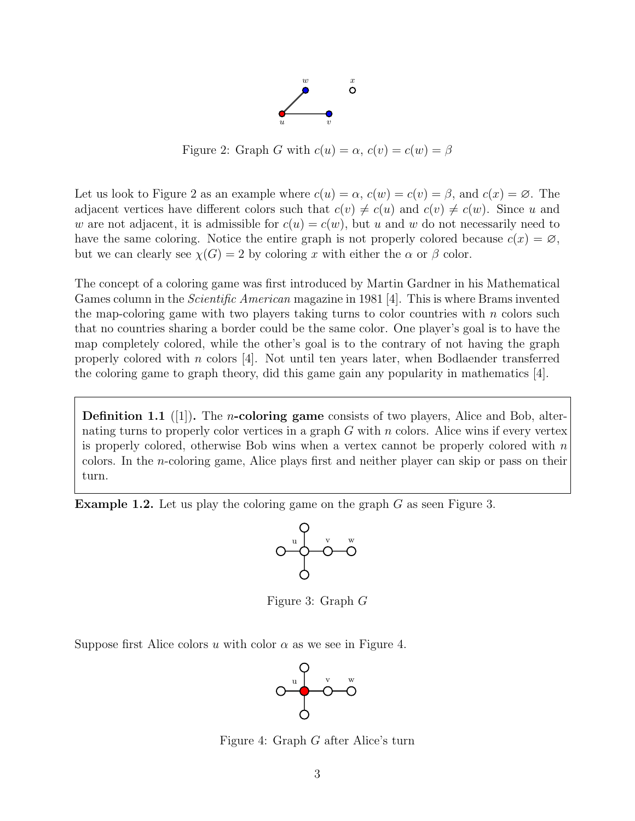

Figure 2: Graph G with  $c(u) = \alpha$ ,  $c(v) = c(w) = \beta$ 

Let us look to Figure 2 as an example where  $c(u) = \alpha$ ,  $c(w) = c(v) = \beta$ , and  $c(x) = \emptyset$ . The adjacent vertices have different colors such that  $c(v) \neq c(u)$  and  $c(v) \neq c(w)$ . Since u and w are not adjacent, it is admissible for  $c(u) = c(w)$ , but u and w do not necessarily need to have the same coloring. Notice the entire graph is not properly colored because  $c(x) = \emptyset$ , but we can clearly see  $\chi(G) = 2$  by coloring x with either the  $\alpha$  or  $\beta$  color.

The concept of a coloring game was first introduced by Martin Gardner in his Mathematical Games column in the Scientific American magazine in 1981 [4]. This is where Brams invented the map-coloring game with two players taking turns to color countries with  $n$  colors such that no countries sharing a border could be the same color. One player's goal is to have the map completely colored, while the other's goal is to the contrary of not having the graph properly colored with n colors [4]. Not until ten years later, when Bodlaender transferred the coloring game to graph theory, did this game gain any popularity in mathematics [4].

**Definition 1.1** ([1]). The *n*-coloring game consists of two players, Alice and Bob, alternating turns to properly color vertices in a graph  $G$  with  $n$  colors. Alice wins if every vertex is properly colored, otherwise Bob wins when a vertex cannot be properly colored with  $n$ colors. In the n-coloring game, Alice plays first and neither player can skip or pass on their turn.

Example 1.2. Let us play the coloring game on the graph G as seen Figure 3.



Figure 3: Graph G

Suppose first Alice colors u with color  $\alpha$  as we see in Figure 4.



Figure 4: Graph G after Alice's turn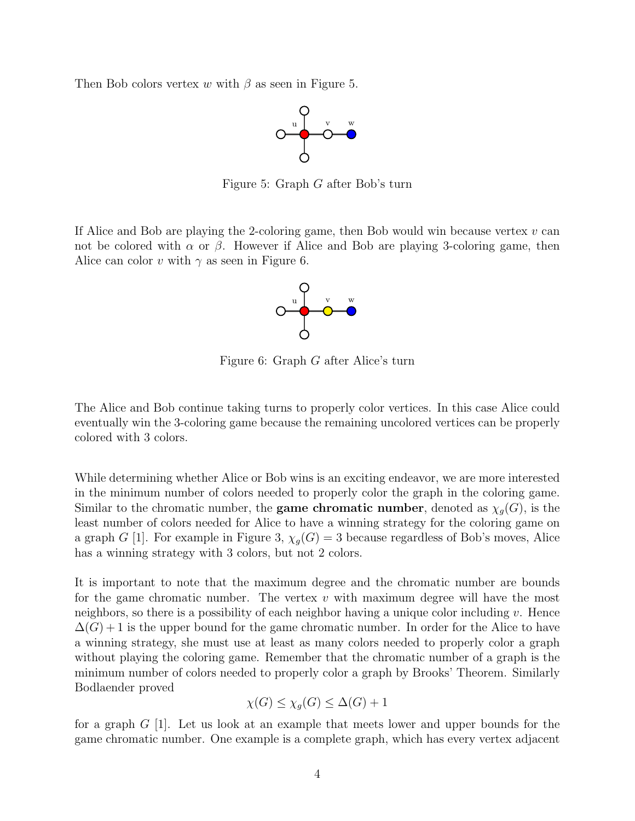Then Bob colors vertex w with  $\beta$  as seen in Figure 5.



Figure 5: Graph G after Bob's turn

If Alice and Bob are playing the 2-coloring game, then Bob would win because vertex  $v$  can not be colored with  $\alpha$  or  $\beta$ . However if Alice and Bob are playing 3-coloring game, then Alice can color v with  $\gamma$  as seen in Figure 6.



Figure 6: Graph G after Alice's turn

The Alice and Bob continue taking turns to properly color vertices. In this case Alice could eventually win the 3-coloring game because the remaining uncolored vertices can be properly colored with 3 colors.

While determining whether Alice or Bob wins is an exciting endeavor, we are more interested in the minimum number of colors needed to properly color the graph in the coloring game. Similar to the chromatic number, the **game chromatic number**, denoted as  $\chi_g(G)$ , is the least number of colors needed for Alice to have a winning strategy for the coloring game on a graph G [1]. For example in Figure 3,  $\chi_g(G) = 3$  because regardless of Bob's moves, Alice has a winning strategy with 3 colors, but not 2 colors.

It is important to note that the maximum degree and the chromatic number are bounds for the game chromatic number. The vertex  $v$  with maximum degree will have the most neighbors, so there is a possibility of each neighbor having a unique color including v. Hence  $\Delta(G) + 1$  is the upper bound for the game chromatic number. In order for the Alice to have a winning strategy, she must use at least as many colors needed to properly color a graph without playing the coloring game. Remember that the chromatic number of a graph is the minimum number of colors needed to properly color a graph by Brooks' Theorem. Similarly Bodlaender proved

$$
\chi(G) \le \chi_g(G) \le \Delta(G) + 1
$$

for a graph  $G$  [1]. Let us look at an example that meets lower and upper bounds for the game chromatic number. One example is a complete graph, which has every vertex adjacent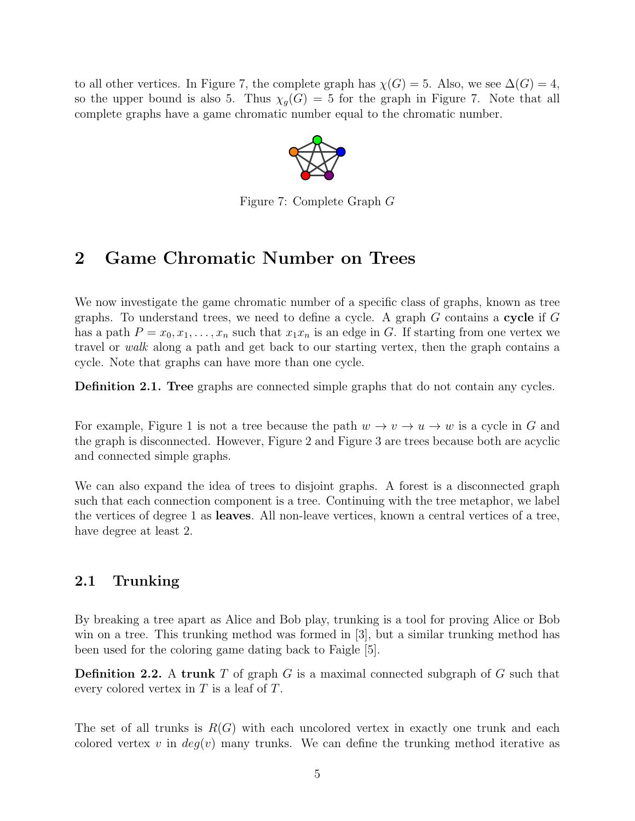to all other vertices. In Figure 7, the complete graph has  $\chi(G) = 5$ . Also, we see  $\Delta(G) = 4$ , so the upper bound is also 5. Thus  $\chi_g(G) = 5$  for the graph in Figure 7. Note that all complete graphs have a game chromatic number equal to the chromatic number.



Figure 7: Complete Graph G

## 2 Game Chromatic Number on Trees

We now investigate the game chromatic number of a specific class of graphs, known as tree graphs. To understand trees, we need to define a cycle. A graph  $G$  contains a cycle if  $G$ has a path  $P = x_0, x_1, \ldots, x_n$  such that  $x_1x_n$  is an edge in G. If starting from one vertex we travel or walk along a path and get back to our starting vertex, then the graph contains a cycle. Note that graphs can have more than one cycle.

Definition 2.1. Tree graphs are connected simple graphs that do not contain any cycles.

For example, Figure 1 is not a tree because the path  $w \to v \to u \to w$  is a cycle in G and the graph is disconnected. However, Figure 2 and Figure 3 are trees because both are acyclic and connected simple graphs.

We can also expand the idea of trees to disjoint graphs. A forest is a disconnected graph such that each connection component is a tree. Continuing with the tree metaphor, we label the vertices of degree 1 as leaves. All non-leave vertices, known a central vertices of a tree, have degree at least 2.

### 2.1 Trunking

By breaking a tree apart as Alice and Bob play, trunking is a tool for proving Alice or Bob win on a tree. This trunking method was formed in [3], but a similar trunking method has been used for the coloring game dating back to Faigle [5].

**Definition 2.2.** A trunk T of graph G is a maximal connected subgraph of G such that every colored vertex in  $T$  is a leaf of  $T$ .

The set of all trunks is  $R(G)$  with each uncolored vertex in exactly one trunk and each colored vertex v in  $deg(v)$  many trunks. We can define the trunking method iterative as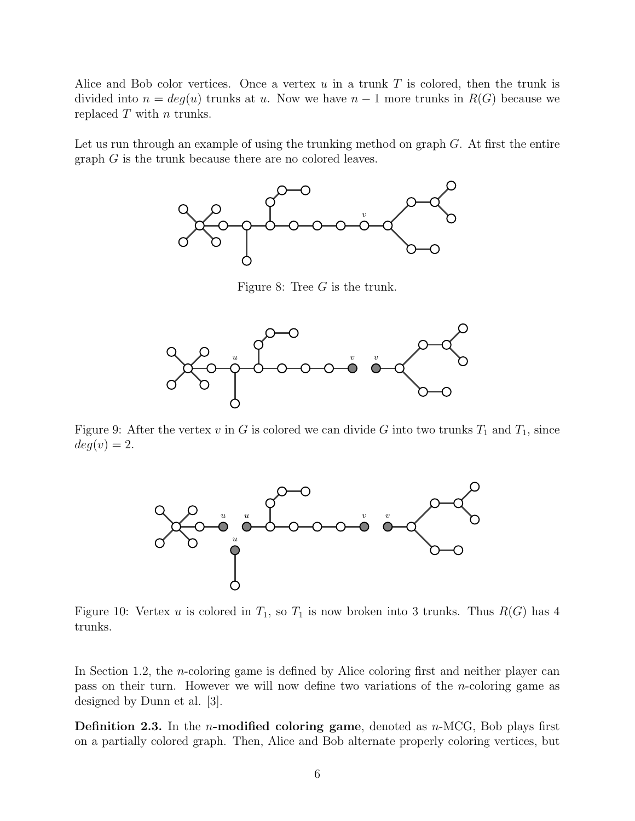Alice and Bob color vertices. Once a vertex  $u$  in a trunk  $T$  is colored, then the trunk is divided into  $n = deg(u)$  trunks at u. Now we have  $n - 1$  more trunks in  $R(G)$  because we replaced  $T$  with  $n$  trunks.

Let us run through an example of using the trunking method on graph  $G$ . At first the entire graph  $G$  is the trunk because there are no colored leaves.



Figure 8: Tree G is the trunk.



Figure 9: After the vertex v in G is colored we can divide G into two trunks  $T_1$  and  $T_1$ , since  $deg(v) = 2.$ 



Figure 10: Vertex u is colored in  $T_1$ , so  $T_1$  is now broken into 3 trunks. Thus  $R(G)$  has 4 trunks.

In Section 1.2, the  $n$ -coloring game is defined by Alice coloring first and neither player can pass on their turn. However we will now define two variations of the n-coloring game as designed by Dunn et al. [3].

**Definition 2.3.** In the *n*-modified coloring game, denoted as *n*-MCG, Bob plays first on a partially colored graph. Then, Alice and Bob alternate properly coloring vertices, but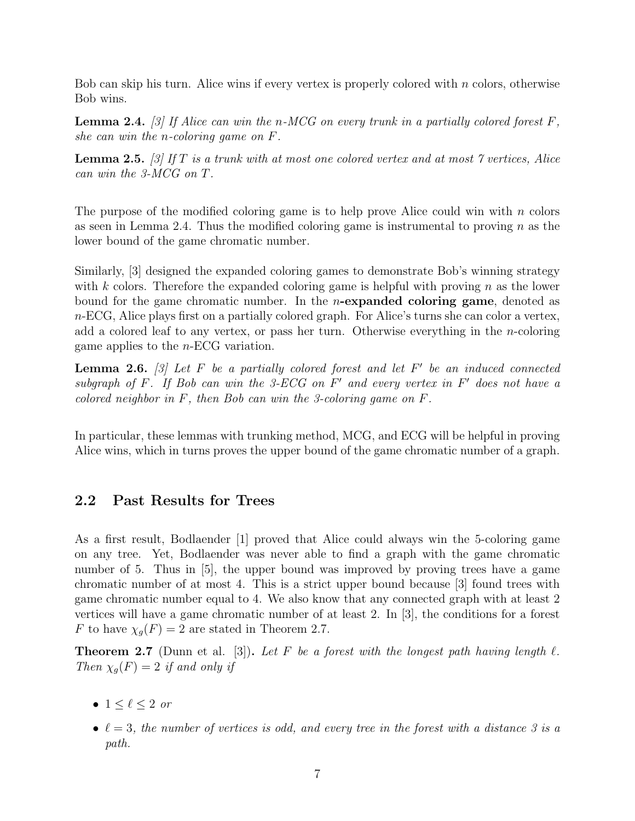Bob can skip his turn. Alice wins if every vertex is properly colored with  $n$  colors, otherwise Bob wins.

**Lemma 2.4.** [3] If Alice can win the n-MCG on every trunk in a partially colored forest  $F$ , she can win the n-coloring game on F.

**Lemma 2.5.** [3] If T is a trunk with at most one colored vertex and at most  $\gamma$  vertices, Alice can win the 3-MCG on T.

The purpose of the modified coloring game is to help prove Alice could win with  $n$  colors as seen in Lemma 2.4. Thus the modified coloring game is instrumental to proving  $n$  as the lower bound of the game chromatic number.

Similarly, [3] designed the expanded coloring games to demonstrate Bob's winning strategy with k colors. Therefore the expanded coloring game is helpful with proving  $n$  as the lower bound for the game chromatic number. In the  $n$ -expanded coloring game, denoted as  $n$ -ECG, Alice plays first on a partially colored graph. For Alice's turns she can color a vertex, add a colored leaf to any vertex, or pass her turn. Otherwise everything in the *n*-coloring game applies to the  $n$ -ECG variation.

**Lemma 2.6.** [3] Let F be a partially colored forest and let F' be an induced connected subgraph of  $F$ . If Bob can win the 3-ECG on  $F'$  and every vertex in  $F'$  does not have a colored neighbor in  $F$ , then Bob can win the 3-coloring game on  $F$ .

In particular, these lemmas with trunking method, MCG, and ECG will be helpful in proving Alice wins, which in turns proves the upper bound of the game chromatic number of a graph.

#### 2.2 Past Results for Trees

As a first result, Bodlaender [1] proved that Alice could always win the 5-coloring game on any tree. Yet, Bodlaender was never able to find a graph with the game chromatic number of 5. Thus in [5], the upper bound was improved by proving trees have a game chromatic number of at most 4. This is a strict upper bound because [3] found trees with game chromatic number equal to 4. We also know that any connected graph with at least 2 vertices will have a game chromatic number of at least 2. In [3], the conditions for a forest F to have  $\chi_g(F) = 2$  are stated in Theorem 2.7.

**Theorem 2.7** (Dunn et al. [3]). Let F be a forest with the longest path having length  $\ell$ . Then  $\chi_q(F) = 2$  if and only if

- $1 \leq \ell \leq 2$  or
- $\ell = 3$ , the number of vertices is odd, and every tree in the forest with a distance 3 is a path.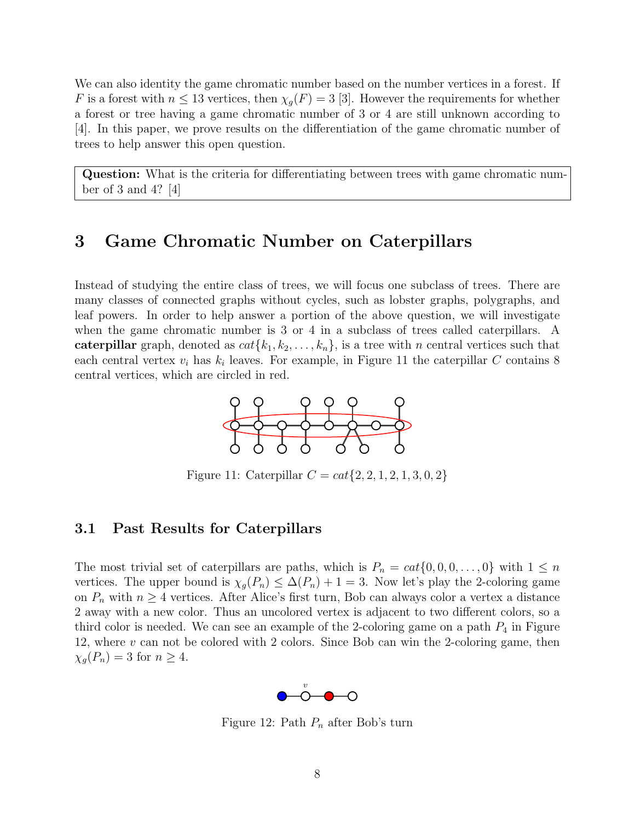We can also identity the game chromatic number based on the number vertices in a forest. If F is a forest with  $n \leq 13$  vertices, then  $\chi_q(F) = 3$  [3]. However the requirements for whether a forest or tree having a game chromatic number of 3 or 4 are still unknown according to [4]. In this paper, we prove results on the differentiation of the game chromatic number of trees to help answer this open question.

Question: What is the criteria for differentiating between trees with game chromatic number of 3 and 4? [4]

## 3 Game Chromatic Number on Caterpillars

Instead of studying the entire class of trees, we will focus one subclass of trees. There are many classes of connected graphs without cycles, such as lobster graphs, polygraphs, and leaf powers. In order to help answer a portion of the above question, we will investigate when the game chromatic number is 3 or 4 in a subclass of trees called caterpillars. A caterpillar graph, denoted as  $cat{k_1, k_2, \ldots, k_n}$ , is a tree with n central vertices such that each central vertex  $v_i$  has  $k_i$  leaves. For example, in Figure 11 the caterpillar C contains 8 central vertices, which are circled in red.



Figure 11: Caterpillar  $C = cat{2, 2, 1, 2, 1, 3, 0, 2}$ 

#### 3.1 Past Results for Caterpillars

The most trivial set of caterpillars are paths, which is  $P_n = cat\{0, 0, 0, \ldots, 0\}$  with  $1 \leq n$ vertices. The upper bound is  $\chi_g(P_n) \leq \Delta(P_n) + 1 = 3$ . Now let's play the 2-coloring game on  $P_n$  with  $n \geq 4$  vertices. After Alice's first turn, Bob can always color a vertex a distance 2 away with a new color. Thus an uncolored vertex is adjacent to two different colors, so a third color is needed. We can see an example of the 2-coloring game on a path  $P_4$  in Figure 12, where  $v$  can not be colored with 2 colors. Since Bob can win the 2-coloring game, then  $\chi_g(P_n) = 3$  for  $n \geq 4$ .



Figure 12: Path  $P_n$  after Bob's turn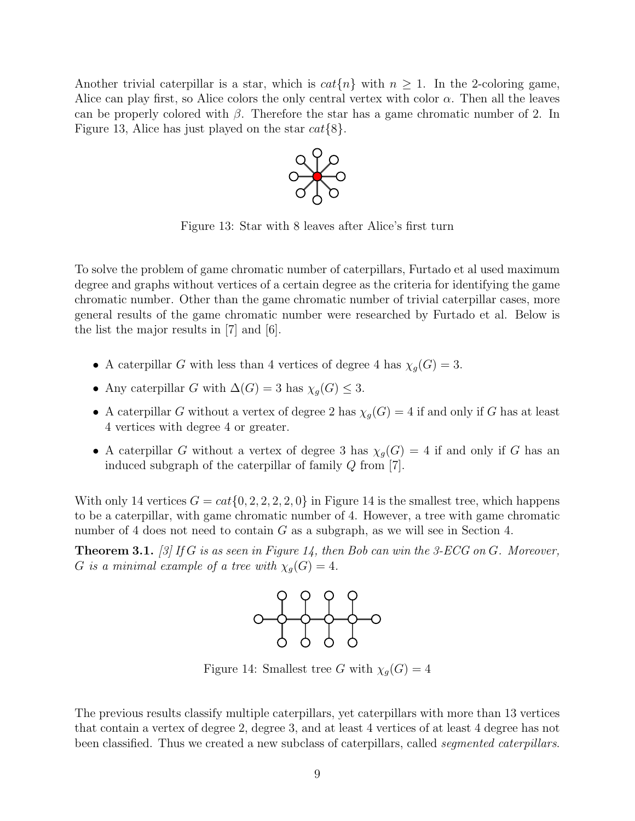Another trivial caterpillar is a star, which is  $cat\{n\}$  with  $n \geq 1$ . In the 2-coloring game, Alice can play first, so Alice colors the only central vertex with color  $\alpha$ . Then all the leaves can be properly colored with  $\beta$ . Therefore the star has a game chromatic number of 2. In Figure 13, Alice has just played on the star  $cat\{8\}$ .



Figure 13: Star with 8 leaves after Alice's first turn

To solve the problem of game chromatic number of caterpillars, Furtado et al used maximum degree and graphs without vertices of a certain degree as the criteria for identifying the game chromatic number. Other than the game chromatic number of trivial caterpillar cases, more general results of the game chromatic number were researched by Furtado et al. Below is the list the major results in [7] and [6].

- A caterpillar G with less than 4 vertices of degree 4 has  $\chi_g(G) = 3$ .
- Any caterpillar G with  $\Delta(G) = 3$  has  $\chi_g(G) \leq 3$ .
- A caterpillar G without a vertex of degree 2 has  $\chi_g(G) = 4$  if and only if G has at least 4 vertices with degree 4 or greater.
- A caterpillar G without a vertex of degree 3 has  $\chi_g(G) = 4$  if and only if G has an induced subgraph of the caterpillar of family Q from [7].

With only 14 vertices  $G = cat\{0, 2, 2, 2, 2, 0\}$  in Figure 14 is the smallest tree, which happens to be a caterpillar, with game chromatic number of 4. However, a tree with game chromatic number of 4 does not need to contain  $G$  as a subgraph, as we will see in Section 4.

**Theorem 3.1.** [3] If G is as seen in Figure 14, then Bob can win the 3-ECG on G. Moreover, G is a minimal example of a tree with  $\chi_g(G) = 4$ .



Figure 14: Smallest tree G with  $\chi_q(G) = 4$ 

The previous results classify multiple caterpillars, yet caterpillars with more than 13 vertices that contain a vertex of degree 2, degree 3, and at least 4 vertices of at least 4 degree has not been classified. Thus we created a new subclass of caterpillars, called *segmented caterpillars*.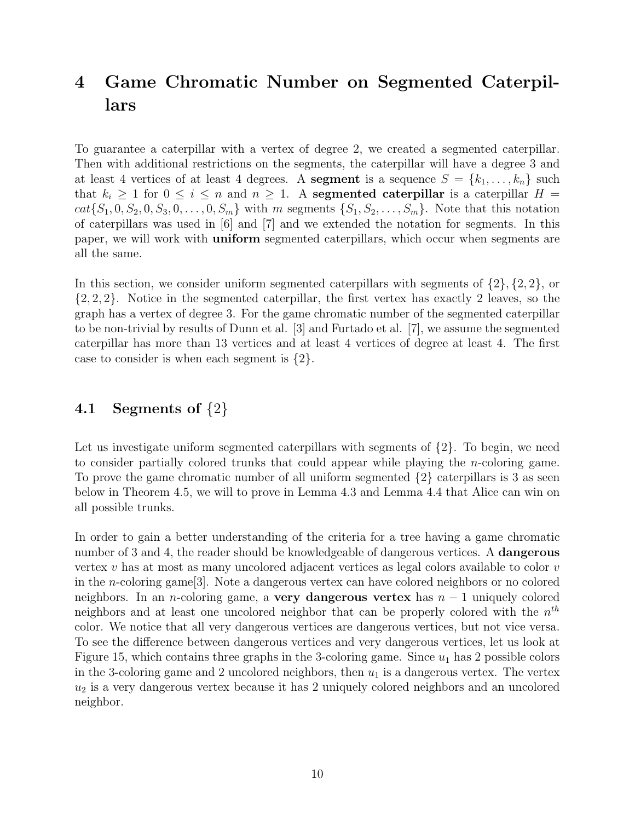## 4 Game Chromatic Number on Segmented Caterpillars

To guarantee a caterpillar with a vertex of degree 2, we created a segmented caterpillar. Then with additional restrictions on the segments, the caterpillar will have a degree 3 and at least 4 vertices of at least 4 degrees. A **segment** is a sequence  $S = \{k_1, \ldots, k_n\}$  such that  $k_i \geq 1$  for  $0 \leq i \leq n$  and  $n \geq 1$ . A segmented caterpillar is a caterpillar  $H =$  $cat\{S_1, 0, S_2, 0, S_3, 0, \ldots, 0, S_m\}$  with m segments  $\{S_1, S_2, \ldots, S_m\}$ . Note that this notation of caterpillars was used in  $[6]$  and  $[7]$  and we extended the notation for segments. In this paper, we will work with uniform segmented caterpillars, which occur when segments are all the same.

In this section, we consider uniform segmented caterpillars with segments of  $\{2\}, \{2, 2\}$ , or  $\{2, 2, 2\}$ . Notice in the segmented caterpillar, the first vertex has exactly 2 leaves, so the graph has a vertex of degree 3. For the game chromatic number of the segmented caterpillar to be non-trivial by results of Dunn et al. [3] and Furtado et al. [7], we assume the segmented caterpillar has more than 13 vertices and at least 4 vertices of degree at least 4. The first case to consider is when each segment is  $\{2\}$ .

### 4.1 Segments of  $\{2\}$

Let us investigate uniform segmented caterpillars with segments of  $\{2\}$ . To begin, we need to consider partially colored trunks that could appear while playing the n-coloring game. To prove the game chromatic number of all uniform segmented  $\{2\}$  caterpillars is 3 as seen below in Theorem 4.5, we will to prove in Lemma 4.3 and Lemma 4.4 that Alice can win on all possible trunks.

In order to gain a better understanding of the criteria for a tree having a game chromatic number of 3 and 4, the reader should be knowledgeable of dangerous vertices. A **dangerous** vertex v has at most as many uncolored adjacent vertices as legal colors available to color  $v$ in the n-coloring game[3]. Note a dangerous vertex can have colored neighbors or no colored neighbors. In an *n*-coloring game, a **very dangerous vertex** has  $n - 1$  uniquely colored neighbors and at least one uncolored neighbor that can be properly colored with the  $n^{th}$ color. We notice that all very dangerous vertices are dangerous vertices, but not vice versa. To see the difference between dangerous vertices and very dangerous vertices, let us look at Figure 15, which contains three graphs in the 3-coloring game. Since  $u_1$  has 2 possible colors in the 3-coloring game and 2 uncolored neighbors, then  $u_1$  is a dangerous vertex. The vertex  $u_2$  is a very dangerous vertex because it has 2 uniquely colored neighbors and an uncolored neighbor.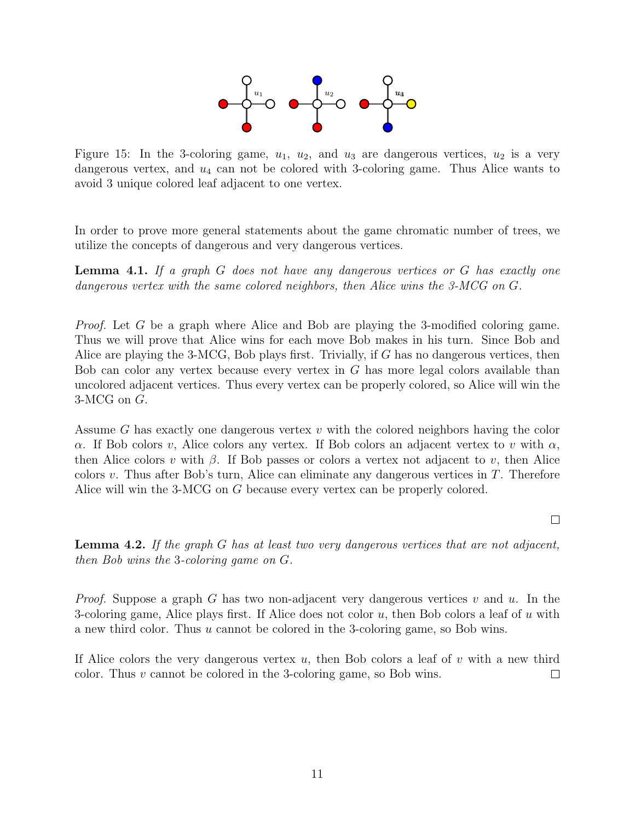

Figure 15: In the 3-coloring game,  $u_1$ ,  $u_2$ , and  $u_3$  are dangerous vertices,  $u_2$  is a very dangerous vertex, and  $u_4$  can not be colored with 3-coloring game. Thus Alice wants to avoid 3 unique colored leaf adjacent to one vertex.

In order to prove more general statements about the game chromatic number of trees, we utilize the concepts of dangerous and very dangerous vertices.

Lemma 4.1. If a graph G does not have any dangerous vertices or G has exactly one dangerous vertex with the same colored neighbors, then Alice wins the 3-MCG on G.

Proof. Let G be a graph where Alice and Bob are playing the 3-modified coloring game. Thus we will prove that Alice wins for each move Bob makes in his turn. Since Bob and Alice are playing the 3-MCG, Bob plays first. Trivially, if G has no dangerous vertices, then Bob can color any vertex because every vertex in G has more legal colors available than uncolored adjacent vertices. Thus every vertex can be properly colored, so Alice will win the 3-MCG on G.

Assume G has exactly one dangerous vertex  $v$  with the colored neighbors having the color α. If Bob colors v, Alice colors any vertex. If Bob colors an adjacent vertex to v with  $α$ , then Alice colors v with  $\beta$ . If Bob passes or colors a vertex not adjacent to v, then Alice colors v. Thus after Bob's turn, Alice can eliminate any dangerous vertices in  $T$ . Therefore Alice will win the 3-MCG on G because every vertex can be properly colored.

 $\Box$ 

**Lemma 4.2.** If the graph  $G$  has at least two very dangerous vertices that are not adjacent, then Bob wins the 3-coloring game on G.

*Proof.* Suppose a graph G has two non-adjacent very dangerous vertices v and u. In the 3-coloring game, Alice plays first. If Alice does not color  $u$ , then Bob colors a leaf of  $u$  with a new third color. Thus u cannot be colored in the 3-coloring game, so Bob wins.

If Alice colors the very dangerous vertex  $u$ , then Bob colors a leaf of  $v$  with a new third color. Thus v cannot be colored in the 3-coloring game, so Bob wins.  $\Box$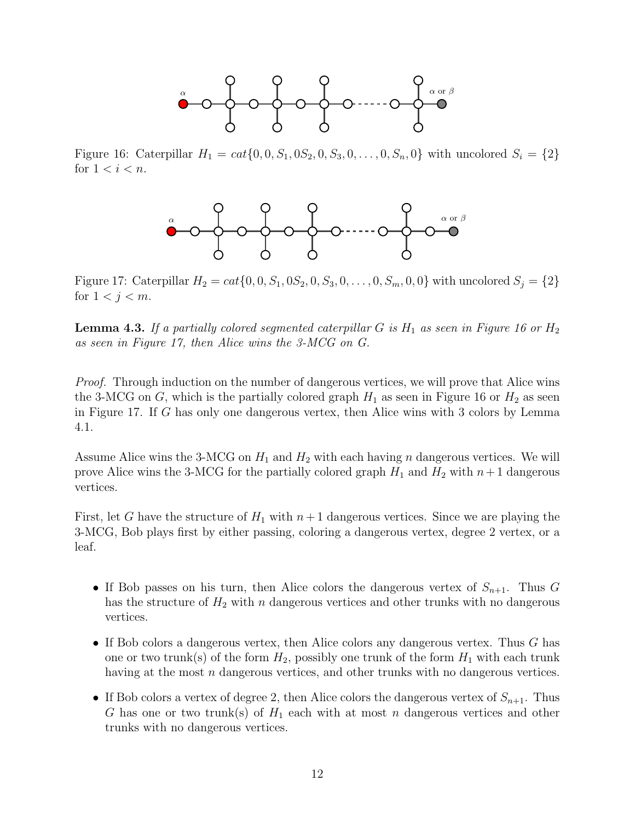

Figure 16: Caterpillar  $H_1 = cat\{0, 0, S_1, 0S_2, 0, S_3, 0, ..., 0, S_n, 0\}$  with uncolored  $S_i = \{2\}$ for  $1 < i < n$ .



Figure 17: Caterpillar  $H_2 = cat\{0, 0, S_1, 0S_2, 0, S_3, 0, \ldots, 0, S_m, 0, 0\}$  with uncolored  $S_j = \{2\}$ for  $1 < j < m$ .

**Lemma 4.3.** If a partially colored segmented caterpillar G is  $H_1$  as seen in Figure 16 or  $H_2$ as seen in Figure 17, then Alice wins the 3-MCG on G.

Proof. Through induction on the number of dangerous vertices, we will prove that Alice wins the 3-MCG on G, which is the partially colored graph  $H_1$  as seen in Figure 16 or  $H_2$  as seen in Figure 17. If G has only one dangerous vertex, then Alice wins with 3 colors by Lemma 4.1.

Assume Alice wins the 3-MCG on  $H_1$  and  $H_2$  with each having n dangerous vertices. We will prove Alice wins the 3-MCG for the partially colored graph  $H_1$  and  $H_2$  with  $n+1$  dangerous vertices.

First, let G have the structure of  $H_1$  with  $n+1$  dangerous vertices. Since we are playing the 3-MCG, Bob plays first by either passing, coloring a dangerous vertex, degree 2 vertex, or a leaf.

- If Bob passes on his turn, then Alice colors the dangerous vertex of  $S_{n+1}$ . Thus G has the structure of  $H_2$  with n dangerous vertices and other trunks with no dangerous vertices.
- If Bob colors a dangerous vertex, then Alice colors any dangerous vertex. Thus  $G$  has one or two trunk(s) of the form  $H_2$ , possibly one trunk of the form  $H_1$  with each trunk having at the most n dangerous vertices, and other trunks with no dangerous vertices.
- If Bob colors a vertex of degree 2, then Alice colors the dangerous vertex of  $S_{n+1}$ . Thus G has one or two trunk(s) of  $H_1$  each with at most n dangerous vertices and other trunks with no dangerous vertices.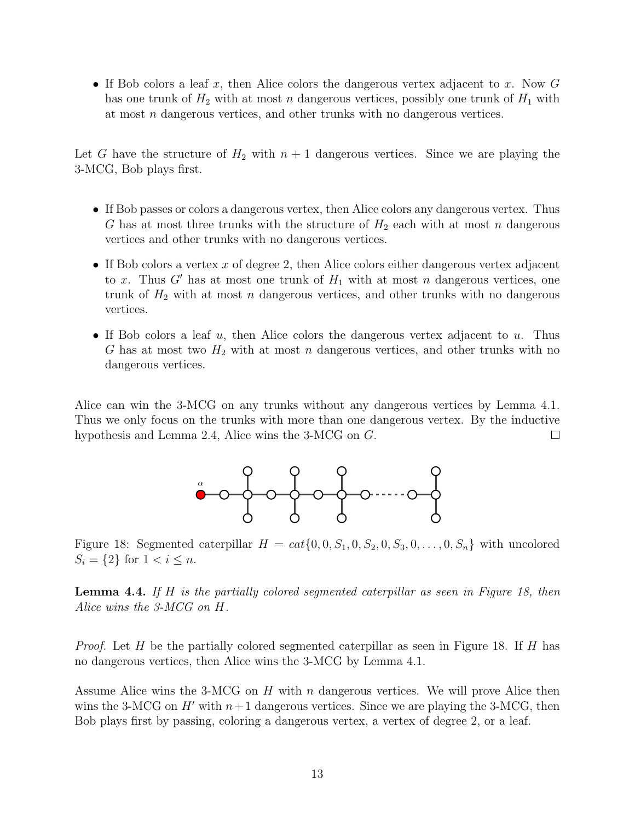• If Bob colors a leaf x, then Alice colors the dangerous vertex adjacent to x. Now  $G$ has one trunk of  $H_2$  with at most n dangerous vertices, possibly one trunk of  $H_1$  with at most n dangerous vertices, and other trunks with no dangerous vertices.

Let G have the structure of  $H_2$  with  $n + 1$  dangerous vertices. Since we are playing the 3-MCG, Bob plays first.

- If Bob passes or colors a dangerous vertex, then Alice colors any dangerous vertex. Thus G has at most three trunks with the structure of  $H_2$  each with at most n dangerous vertices and other trunks with no dangerous vertices.
- If Bob colors a vertex x of degree 2, then Alice colors either dangerous vertex adjacent to x. Thus G' has at most one trunk of  $H_1$  with at most n dangerous vertices, one trunk of  $H_2$  with at most n dangerous vertices, and other trunks with no dangerous vertices.
- If Bob colors a leaf  $u$ , then Alice colors the dangerous vertex adjacent to  $u$ . Thus G has at most two  $H_2$  with at most n dangerous vertices, and other trunks with no dangerous vertices.

Alice can win the 3-MCG on any trunks without any dangerous vertices by Lemma 4.1. Thus we only focus on the trunks with more than one dangerous vertex. By the inductive hypothesis and Lemma 2.4, Alice wins the 3-MCG on G.  $\Box$ 



Figure 18: Segmented caterpillar  $H = cat\{0, 0, S_1, 0, S_2, 0, S_3, 0, \ldots, 0, S_n\}$  with uncolored  $S_i = \{2\}$  for  $1 < i \leq n$ .

**Lemma 4.4.** If H is the partially colored segmented caterpillar as seen in Figure 18, then Alice wins the 3-MCG on H.

*Proof.* Let H be the partially colored segmented caterpillar as seen in Figure 18. If H has no dangerous vertices, then Alice wins the 3-MCG by Lemma 4.1.

Assume Alice wins the 3-MCG on  $H$  with n dangerous vertices. We will prove Alice then wins the 3-MCG on H' with  $n+1$  dangerous vertices. Since we are playing the 3-MCG, then Bob plays first by passing, coloring a dangerous vertex, a vertex of degree 2, or a leaf.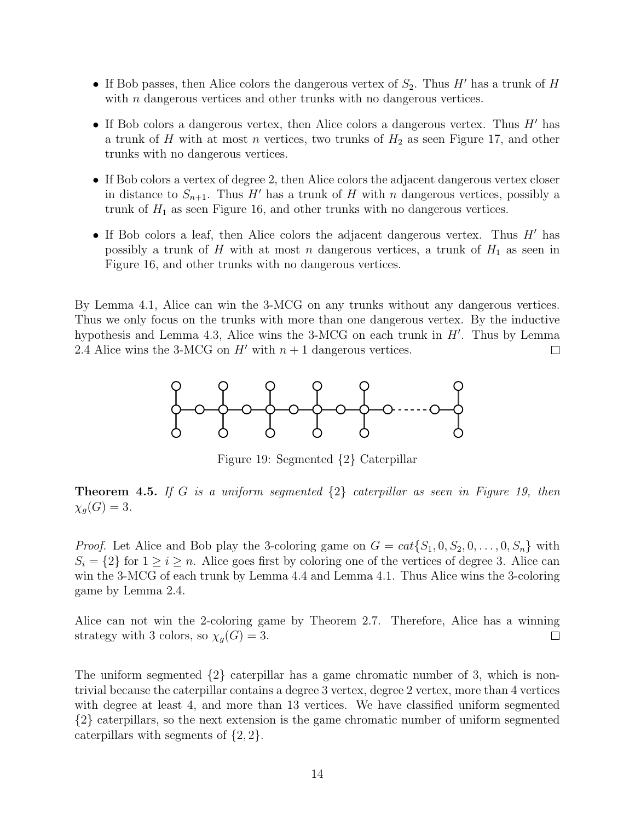- If Bob passes, then Alice colors the dangerous vertex of  $S_2$ . Thus H' has a trunk of H with  $n$  dangerous vertices and other trunks with no dangerous vertices.
- If Bob colors a dangerous vertex, then Alice colors a dangerous vertex. Thus  $H'$  has a trunk of H with at most n vertices, two trunks of  $H_2$  as seen Figure 17, and other trunks with no dangerous vertices.
- If Bob colors a vertex of degree 2, then Alice colors the adjacent dangerous vertex closer in distance to  $S_{n+1}$ . Thus H' has a trunk of H with n dangerous vertices, possibly a trunk of  $H_1$  as seen Figure 16, and other trunks with no dangerous vertices.
- If Bob colors a leaf, then Alice colors the adjacent dangerous vertex. Thus  $H'$  has possibly a trunk of H with at most n dangerous vertices, a trunk of  $H_1$  as seen in Figure 16, and other trunks with no dangerous vertices.

By Lemma 4.1, Alice can win the 3-MCG on any trunks without any dangerous vertices. Thus we only focus on the trunks with more than one dangerous vertex. By the inductive hypothesis and Lemma 4.3, Alice wins the  $3\text{-}MCG$  on each trunk in  $H'$ . Thus by Lemma 2.4 Alice wins the 3-MCG on  $H'$  with  $n + 1$  dangerous vertices.  $\Box$ 



Figure 19: Segmented {2} Caterpillar

**Theorem 4.5.** If G is a uniform segmented  $\{2\}$  caterpillar as seen in Figure 19, then  $\chi_q(G) = 3.$ 

*Proof.* Let Alice and Bob play the 3-coloring game on  $G = cat{S_1, 0, S_2, 0, ..., 0, S_n}$  with  $S_i = \{2\}$  for  $1 \geq i \geq n$ . Alice goes first by coloring one of the vertices of degree 3. Alice can win the 3-MCG of each trunk by Lemma 4.4 and Lemma 4.1. Thus Alice wins the 3-coloring game by Lemma 2.4.

Alice can not win the 2-coloring game by Theorem 2.7. Therefore, Alice has a winning strategy with 3 colors, so  $\chi_g(G) = 3$ .  $\Box$ 

The uniform segmented  $\{2\}$  caterpillar has a game chromatic number of 3, which is nontrivial because the caterpillar contains a degree 3 vertex, degree 2 vertex, more than 4 vertices with degree at least 4, and more than 13 vertices. We have classified uniform segmented {2} caterpillars, so the next extension is the game chromatic number of uniform segmented caterpillars with segments of  $\{2, 2\}.$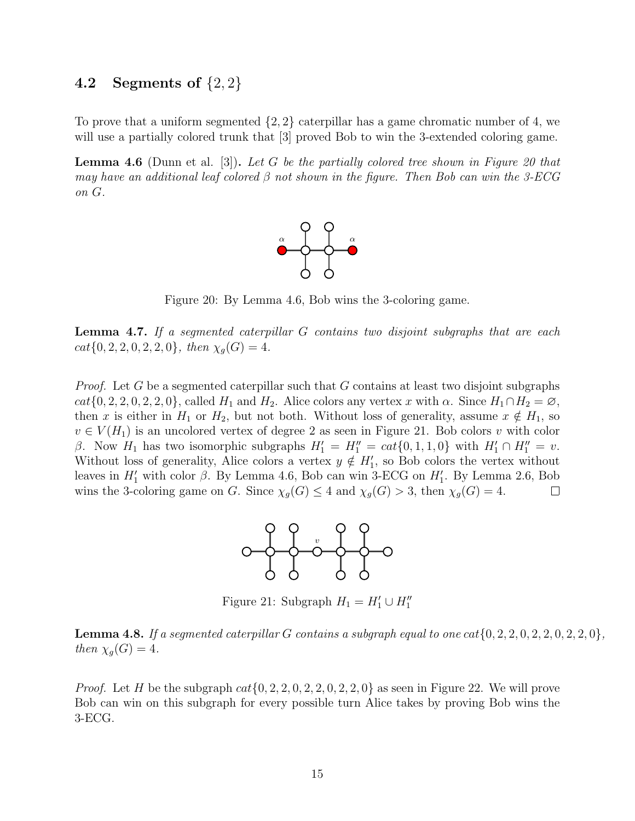#### 4.2 Segments of  $\{2, 2\}$

To prove that a uniform segmented  $\{2, 2\}$  caterpillar has a game chromatic number of 4, we will use a partially colored trunk that  $[3]$  proved Bob to win the 3-extended coloring game.

**Lemma 4.6** (Dunn et al. [3]). Let G be the partially colored tree shown in Figure 20 that may have an additional leaf colored  $\beta$  not shown in the figure. Then Bob can win the 3-ECG on G.



Figure 20: By Lemma 4.6, Bob wins the 3-coloring game.

Lemma 4.7. If a segmented caterpillar G contains two disjoint subgraphs that are each  $cat{0, 2, 2, 0, 2, 2, 0}$ , then  $\chi_g(G) = 4$ .

*Proof.* Let G be a segmented caterpillar such that G contains at least two disjoint subgraphs  $cat{0, 2, 2, 0, 2, 2, 0}$ , called  $H_1$  and  $H_2$ . Alice colors any vertex x with  $\alpha$ . Since  $H_1 \cap H_2 = \emptyset$ , then x is either in  $H_1$  or  $H_2$ , but not both. Without loss of generality, assume  $x \notin H_1$ , so  $v \in V(H_1)$  is an uncolored vertex of degree 2 as seen in Figure 21. Bob colors v with color β. Now  $H_1$  has two isomorphic subgraphs  $H_1' = H_1'' = cat{0, 1, 1, 0}$  with  $H_1' \cap H_1'' = v$ . Without loss of generality, Alice colors a vertex  $y \notin H'_1$ , so Bob colors the vertex without leaves in  $H'_1$  with color  $\beta$ . By Lemma 4.6, Bob can win 3-ECG on  $H'_1$ . By Lemma 2.6, Bob wins the 3-coloring game on G. Since  $\chi_g(G) \leq 4$  and  $\chi_g(G) > 3$ , then  $\chi_g(G) = 4$ .  $\Box$ 



Figure 21: Subgraph  $H_1 = H'_1 \cup H''_1$ 

**Lemma 4.8.** If a segmented caterpillar G contains a subgraph equal to one cat $\{0, 2, 2, 0, 2, 2, 0, 2, 2, 0\}$ , then  $\chi_q(G) = 4$ .

*Proof.* Let H be the subgraph  $cat{0, 2, 2, 0, 2, 2, 0, 2, 2, 0}$  as seen in Figure 22. We will prove Bob can win on this subgraph for every possible turn Alice takes by proving Bob wins the 3-ECG.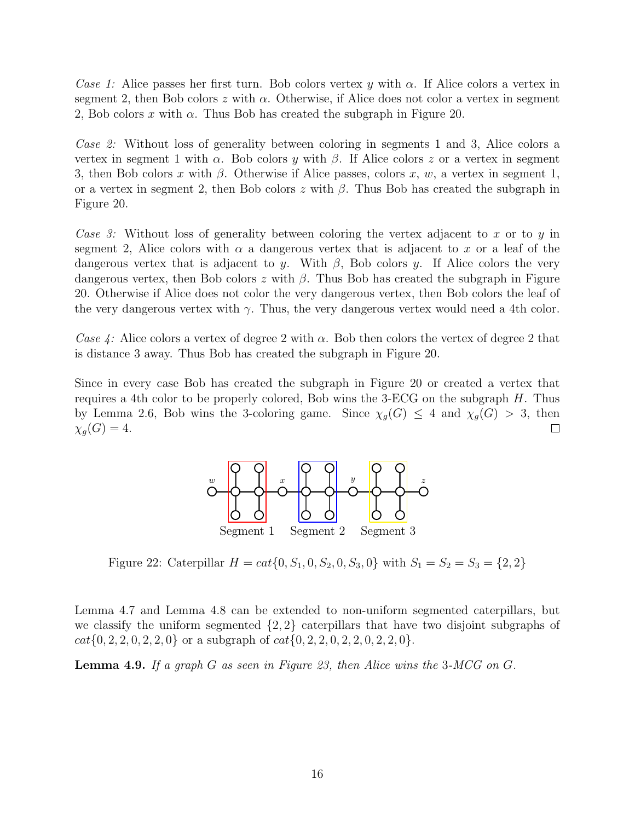Case 1: Alice passes her first turn. Bob colors vertex y with  $\alpha$ . If Alice colors a vertex in segment 2, then Bob colors z with  $\alpha$ . Otherwise, if Alice does not color a vertex in segment 2, Bob colors x with  $\alpha$ . Thus Bob has created the subgraph in Figure 20.

Case 2: Without loss of generality between coloring in segments 1 and 3, Alice colors a vertex in segment 1 with  $\alpha$ . Bob colors y with  $\beta$ . If Alice colors z or a vertex in segment 3, then Bob colors x with  $\beta$ . Otherwise if Alice passes, colors x, w, a vertex in segment 1, or a vertex in segment 2, then Bob colors z with  $\beta$ . Thus Bob has created the subgraph in Figure 20.

Case 3: Without loss of generality between coloring the vertex adjacent to x or to y in segment 2, Alice colors with  $\alpha$  a dangerous vertex that is adjacent to x or a leaf of the dangerous vertex that is adjacent to y. With  $\beta$ , Bob colors y. If Alice colors the very dangerous vertex, then Bob colors z with  $\beta$ . Thus Bob has created the subgraph in Figure 20. Otherwise if Alice does not color the very dangerous vertex, then Bob colors the leaf of the very dangerous vertex with  $\gamma$ . Thus, the very dangerous vertex would need a 4th color.

Case 4: Alice colors a vertex of degree 2 with  $\alpha$ . Bob then colors the vertex of degree 2 that is distance 3 away. Thus Bob has created the subgraph in Figure 20.

Since in every case Bob has created the subgraph in Figure 20 or created a vertex that requires a 4th color to be properly colored, Bob wins the 3-ECG on the subgraph  $H$ . Thus by Lemma 2.6, Bob wins the 3-coloring game. Since  $\chi_g(G) \leq 4$  and  $\chi_g(G) > 3$ , then  $\chi_q(G) = 4.$  $\Box$ 



Figure 22: Caterpillar  $H = cat{0, S_1, 0, S_2, 0, S_3, 0}$  with  $S_1 = S_2 = S_3 = \{2, 2\}$ 

Lemma 4.7 and Lemma 4.8 can be extended to non-uniform segmented caterpillars, but we classify the uniform segmented  $\{2, 2\}$  caterpillars that have two disjoint subgraphs of  $cat{0, 2, 2, 0, 2, 2, 0}$  or a subgraph of  $cat{0, 2, 2, 0, 2, 2, 0, 2, 2, 0}.$ 

**Lemma 4.9.** If a graph G as seen in Figure 23, then Alice wins the 3-MCG on G.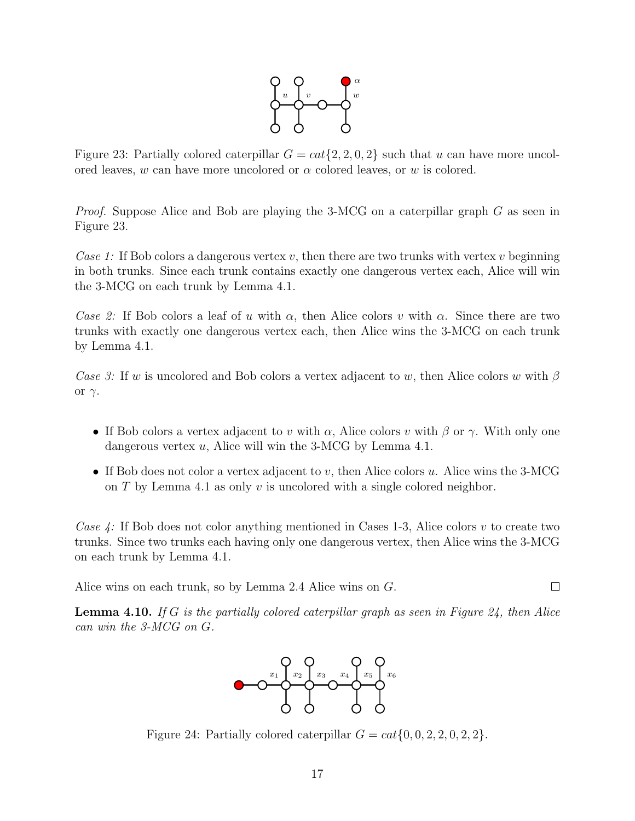

Figure 23: Partially colored caterpillar  $G = cat{2, 2, 0, 2}$  such that u can have more uncolored leaves, w can have more uncolored or  $\alpha$  colored leaves, or w is colored.

Proof. Suppose Alice and Bob are playing the 3-MCG on a caterpillar graph G as seen in Figure 23.

Case 1: If Bob colors a dangerous vertex v, then there are two trunks with vertex v beginning in both trunks. Since each trunk contains exactly one dangerous vertex each, Alice will win the 3-MCG on each trunk by Lemma 4.1.

Case 2: If Bob colors a leaf of u with  $\alpha$ , then Alice colors v with  $\alpha$ . Since there are two trunks with exactly one dangerous vertex each, then Alice wins the 3-MCG on each trunk by Lemma 4.1.

Case 3: If w is uncolored and Bob colors a vertex adjacent to w, then Alice colors w with  $\beta$ or  $\gamma$ .

- If Bob colors a vertex adjacent to v with  $\alpha$ , Alice colors v with  $\beta$  or  $\gamma$ . With only one dangerous vertex u, Alice will win the 3-MCG by Lemma 4.1.
- If Bob does not color a vertex adjacent to v, then Alice colors u. Alice wins the  $3\text{-}MCG$ on  $T$  by Lemma 4.1 as only  $v$  is uncolored with a single colored neighbor.

Case 4: If Bob does not color anything mentioned in Cases 1-3, Alice colors v to create two trunks. Since two trunks each having only one dangerous vertex, then Alice wins the 3-MCG on each trunk by Lemma 4.1.

Alice wins on each trunk, so by Lemma 2.4 Alice wins on G.

**Lemma 4.10.** If G is the partially colored caterpillar graph as seen in Figure 24, then Alice can win the 3-MCG on G.

 $\Box$ 



Figure 24: Partially colored caterpillar  $G = cat\{0, 0, 2, 2, 0, 2, 2\}.$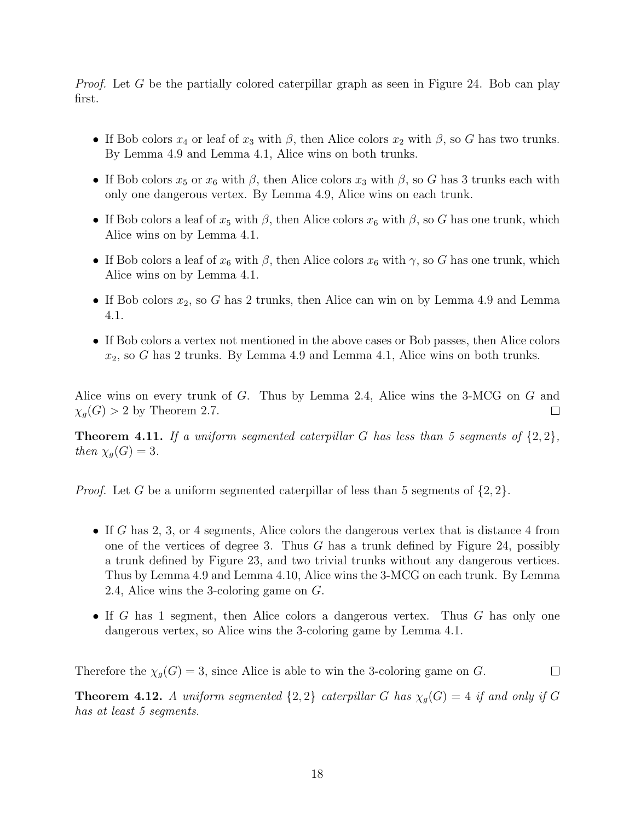*Proof.* Let G be the partially colored caterpillar graph as seen in Figure 24. Bob can play first.

- If Bob colors  $x_4$  or leaf of  $x_3$  with  $\beta$ , then Alice colors  $x_2$  with  $\beta$ , so G has two trunks. By Lemma 4.9 and Lemma 4.1, Alice wins on both trunks.
- If Bob colors  $x_5$  or  $x_6$  with  $\beta$ , then Alice colors  $x_3$  with  $\beta$ , so G has 3 trunks each with only one dangerous vertex. By Lemma 4.9, Alice wins on each trunk.
- If Bob colors a leaf of  $x_5$  with  $\beta$ , then Alice colors  $x_6$  with  $\beta$ , so G has one trunk, which Alice wins on by Lemma 4.1.
- If Bob colors a leaf of  $x_6$  with  $\beta$ , then Alice colors  $x_6$  with  $\gamma$ , so G has one trunk, which Alice wins on by Lemma 4.1.
- If Bob colors  $x_2$ , so G has 2 trunks, then Alice can win on by Lemma 4.9 and Lemma 4.1.
- If Bob colors a vertex not mentioned in the above cases or Bob passes, then Alice colors  $x_2$ , so G has 2 trunks. By Lemma 4.9 and Lemma 4.1, Alice wins on both trunks.

Alice wins on every trunk of G. Thus by Lemma 2.4, Alice wins the 3-MCG on G and  $\chi_q(G) > 2$  by Theorem 2.7.  $\Box$ 

**Theorem 4.11.** If a uniform segmented caterpillar G has less than 5 segments of  $\{2, 2\}$ , then  $\chi_g(G) = 3$ .

*Proof.* Let G be a uniform segmented caterpillar of less than 5 segments of  $\{2, 2\}$ .

- If G has 2, 3, or 4 segments, Alice colors the dangerous vertex that is distance 4 from one of the vertices of degree 3. Thus  $G$  has a trunk defined by Figure 24, possibly a trunk defined by Figure 23, and two trivial trunks without any dangerous vertices. Thus by Lemma 4.9 and Lemma 4.10, Alice wins the 3-MCG on each trunk. By Lemma 2.4, Alice wins the 3-coloring game on G.
- If G has 1 segment, then Alice colors a dangerous vertex. Thus  $G$  has only one dangerous vertex, so Alice wins the 3-coloring game by Lemma 4.1.

Therefore the  $\chi_g(G) = 3$ , since Alice is able to win the 3-coloring game on G.  $\Box$ 

**Theorem 4.12.** A uniform segmented  $\{2,2\}$  caterpillar G has  $\chi_q(G) = 4$  if and only if G has at least 5 segments.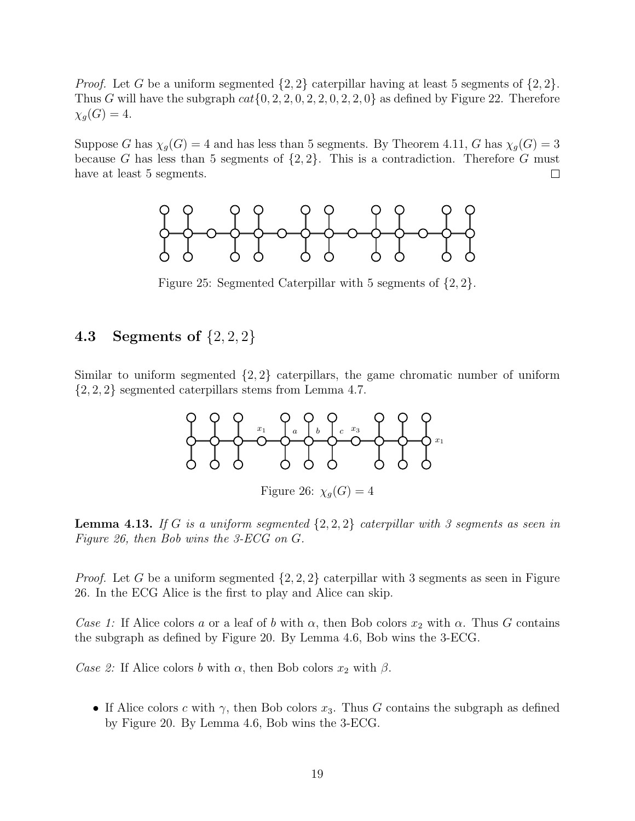*Proof.* Let G be a uniform segmented  $\{2, 2\}$  caterpillar having at least 5 segments of  $\{2, 2\}$ . Thus G will have the subgraph  $cat{0, 2, 2, 0, 2, 2, 0, 2, 2, 0}$  as defined by Figure 22. Therefore  $\chi_q(G) = 4.$ 

Suppose G has  $\chi_g(G) = 4$  and has less than 5 segments. By Theorem 4.11, G has  $\chi_g(G) = 3$ because G has less than 5 segments of  $\{2, 2\}$ . This is a contradiction. Therefore G must have at least 5 segments.  $\Box$ 



Figure 25: Segmented Caterpillar with 5 segments of {2, 2}.

### **4.3** Segments of  $\{2, 2, 2\}$

Similar to uniform segmented  $\{2, 2\}$  caterpillars, the game chromatic number of uniform {2, 2, 2} segmented caterpillars stems from Lemma 4.7.



Figure 26:  $\chi_q(G) = 4$ 

**Lemma 4.13.** If G is a uniform segmented  $\{2, 2, 2\}$  caterpillar with 3 segments as seen in Figure 26, then Bob wins the 3-ECG on G.

*Proof.* Let G be a uniform segmented  $\{2, 2, 2\}$  caterpillar with 3 segments as seen in Figure 26. In the ECG Alice is the first to play and Alice can skip.

Case 1: If Alice colors a or a leaf of b with  $\alpha$ , then Bob colors  $x_2$  with  $\alpha$ . Thus G contains the subgraph as defined by Figure 20. By Lemma 4.6, Bob wins the 3-ECG.

Case 2: If Alice colors b with  $\alpha$ , then Bob colors  $x_2$  with  $\beta$ .

• If Alice colors c with  $\gamma$ , then Bob colors  $x_3$ . Thus G contains the subgraph as defined by Figure 20. By Lemma 4.6, Bob wins the 3-ECG.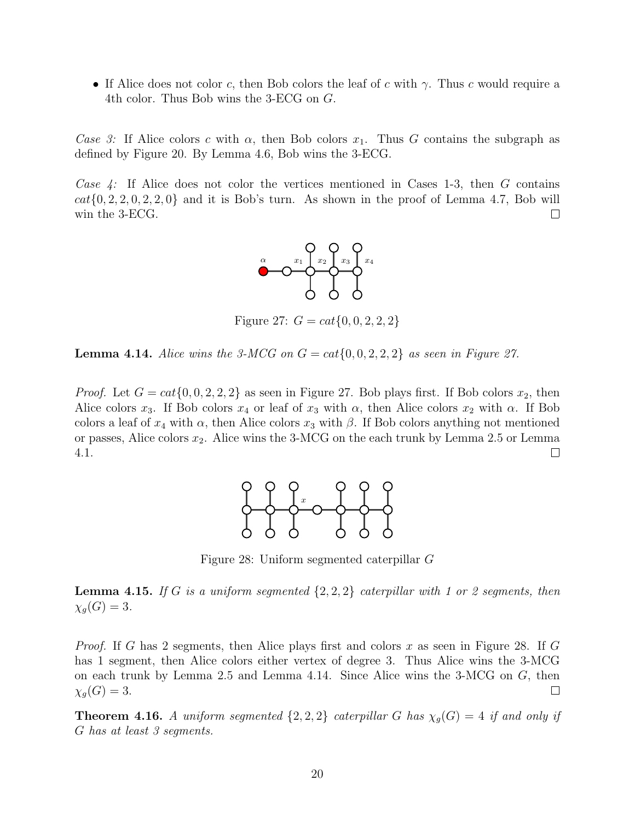• If Alice does not color c, then Bob colors the leaf of c with  $\gamma$ . Thus c would require a 4th color. Thus Bob wins the 3-ECG on G.

Case 3: If Alice colors c with  $\alpha$ , then Bob colors  $x_1$ . Thus G contains the subgraph as defined by Figure 20. By Lemma 4.6, Bob wins the 3-ECG.

Case  $\angle$ : If Alice does not color the vertices mentioned in Cases 1-3, then G contains  $cat{0, 2, 2, 0, 2, 2, 0}$  and it is Bob's turn. As shown in the proof of Lemma 4.7, Bob will win the 3-ECG.  $\Box$ 



Figure 27:  $G = cat{0, 0, 2, 2, 2}$ 

**Lemma 4.14.** Alice wins the 3-MCG on  $G = cat{0, 0, 2, 2, 2}$  as seen in Figure 27.

*Proof.* Let  $G = cat\{0, 0, 2, 2, 2\}$  as seen in Figure 27. Bob plays first. If Bob colors  $x_2$ , then Alice colors  $x_3$ . If Bob colors  $x_4$  or leaf of  $x_3$  with  $\alpha$ , then Alice colors  $x_2$  with  $\alpha$ . If Bob colors a leaf of  $x_4$  with  $\alpha$ , then Alice colors  $x_3$  with  $\beta$ . If Bob colors anything not mentioned or passes, Alice colors  $x_2$ . Alice wins the 3-MCG on the each trunk by Lemma 2.5 or Lemma 4.1.  $\Box$ 



Figure 28: Uniform segmented caterpillar G

**Lemma 4.15.** If G is a uniform segmented  $\{2, 2, 2\}$  caterpillar with 1 or 2 segments, then  $\chi_g(G)=3.$ 

*Proof.* If G has 2 segments, then Alice plays first and colors x as seen in Figure 28. If G has 1 segment, then Alice colors either vertex of degree 3. Thus Alice wins the 3-MCG on each trunk by Lemma 2.5 and Lemma 4.14. Since Alice wins the 3-MCG on G, then  $\chi_q(G) = 3.$  $\Box$ 

**Theorem 4.16.** A uniform segmented  $\{2, 2, 2\}$  caterpillar G has  $\chi_g(G) = 4$  if and only if G has at least 3 segments.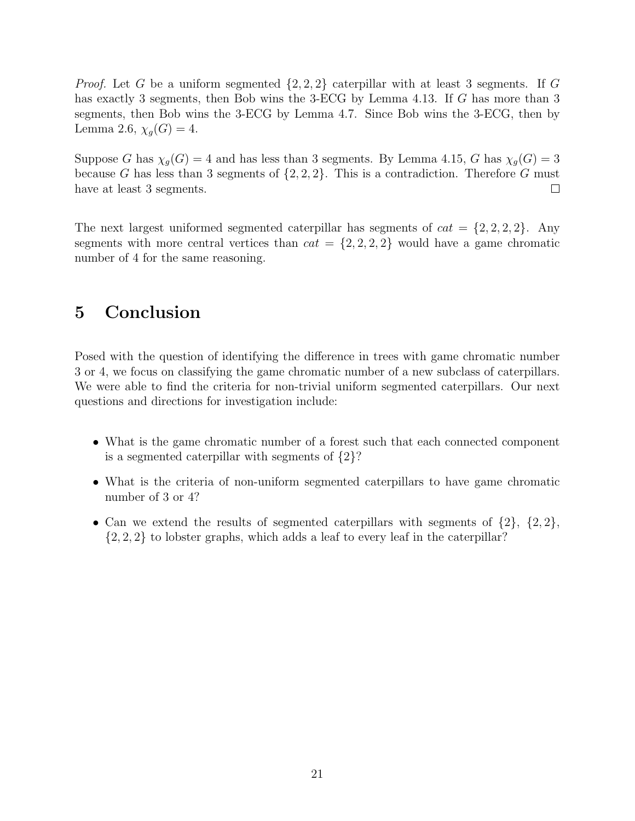*Proof.* Let G be a uniform segmented  $\{2, 2, 2\}$  caterpillar with at least 3 segments. If G has exactly 3 segments, then Bob wins the 3-ECG by Lemma 4.13. If G has more than 3 segments, then Bob wins the 3-ECG by Lemma 4.7. Since Bob wins the 3-ECG, then by Lemma 2.6,  $\chi_g(G) = 4$ .

Suppose G has  $\chi_g(G) = 4$  and has less than 3 segments. By Lemma 4.15, G has  $\chi_g(G) = 3$ because G has less than 3 segments of  $\{2, 2, 2\}$ . This is a contradiction. Therefore G must have at least 3 segments.  $\Box$ 

The next largest uniformed segmented caterpillar has segments of  $cat = \{2, 2, 2, 2\}$ . Any segments with more central vertices than  $cat = \{2, 2, 2, 2\}$  would have a game chromatic number of 4 for the same reasoning.

## 5 Conclusion

Posed with the question of identifying the difference in trees with game chromatic number 3 or 4, we focus on classifying the game chromatic number of a new subclass of caterpillars. We were able to find the criteria for non-trivial uniform segmented caterpillars. Our next questions and directions for investigation include:

- What is the game chromatic number of a forest such that each connected component is a segmented caterpillar with segments of {2}?
- What is the criteria of non-uniform segmented caterpillars to have game chromatic number of 3 or 4?
- Can we extend the results of segmented caterpillars with segments of  $\{2\}$ ,  $\{2,2\}$ ,  $\{2, 2, 2\}$  to lobster graphs, which adds a leaf to every leaf in the caterpillar?